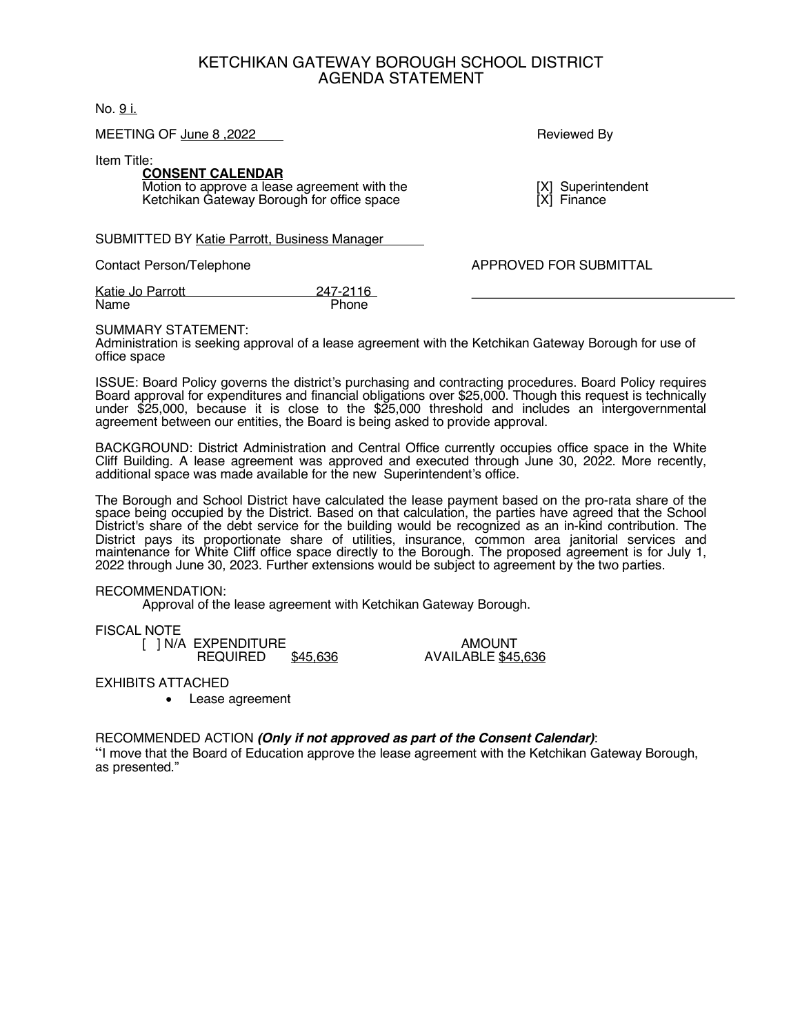# KETCHIKAN GATEWAY BOROUGH SCHOOL DISTRICT AGENDA STATEMENT

No. 9 i.

MEETING OF June 8,2022 **Reviewed By Reviewed By** 

Item Title:

#### **CONSENT CALENDAR** Motion to approve a lease agreement with the [X] Superintendent<br>
Ketchikan Gateway Borough for office space [X] Finance Ketchikan Gateway Borough for office space

SUBMITTED BY Katie Parrott, Business Manager

Contact Person/Telephone **APPROVED FOR SUBMITTAL** 

Katie Jo Parrott 247-2116<br>Name Phone Name

## SUMMARY STATEMENT:

Administration is seeking approval of a lease agreement with the Ketchikan Gateway Borough for use of office space

ISSUE: Board Policy governs the district's purchasing and contracting procedures. Board Policy requires Board approval for expenditures and financial obligations over \$25,000. Though this request is technically under \$25,000, because it is close to the \$25,000 threshold and includes an intergovernmental agreement between our entities, the Board is being asked to provide approval.

BACKGROUND: District Administration and Central Office currently occupies office space in the White Cliff Building. A lease agreement was approved and executed through June 30, 2022. More recently, additional space was made available for the new Superintendent's office.

The Borough and School District have calculated the lease payment based on the pro-rata share of the space being occupied by the District. Based on that calculation, the parties have agreed that the School District's share of the debt service for the building would be recognized as an in-kind contribution. The District pays its proportionate share of utilities, insurance, common area janitorial services and maintenance for White Cliff office space directly to the Borough. The proposed agreement is for July 1, 2022 through June 30, 2023. Further extensions would be subject to agreement by the two parties.

## RECOMMENDATION:

Approval of the lease agreement with Ketchikan Gateway Borough.

## FISCAL NOTE

[ ] N/A EXPENDITURE AMOUNT<br>REQUIRED \$45.636 AVAILABLE \$45

AVAILABLE \$45,636

## EXHIBITS ATTACHED

• Lease agreement

## RECOMMENDED ACTION *(Only if not approved as part of the Consent Calendar)*:

"I move that the Board of Education approve the lease agreement with the Ketchikan Gateway Borough, as presented."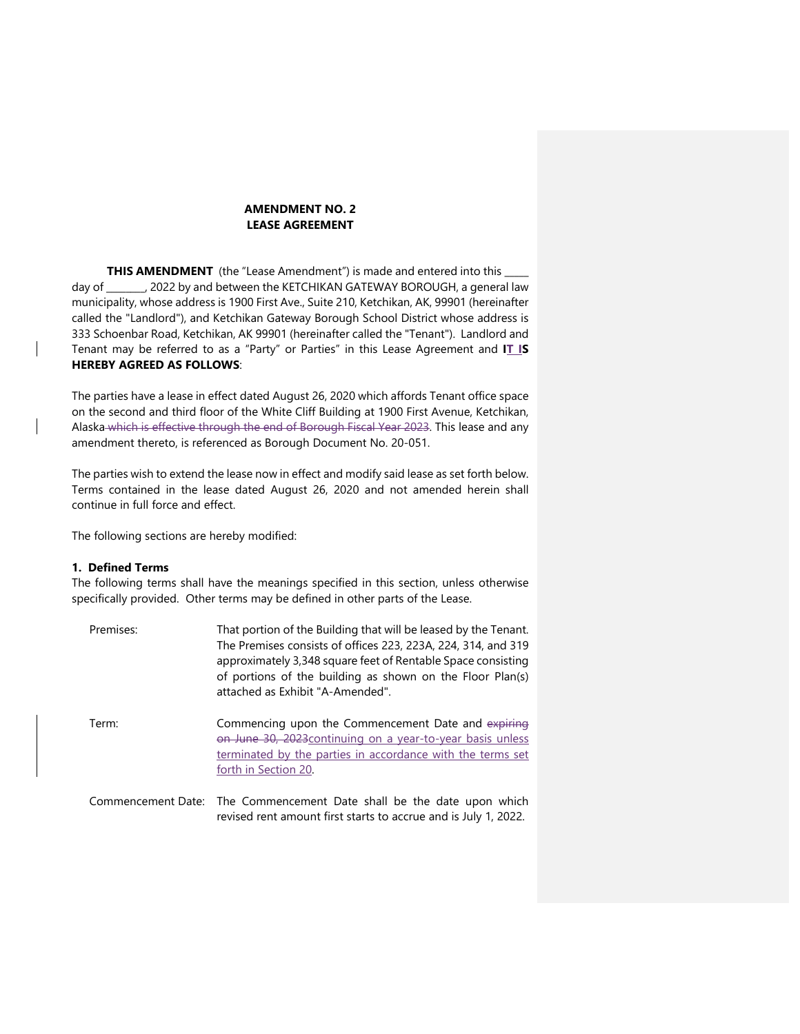#### **AMENDMENT NO. 2 LEASE AGREEMENT**

THIS AMENDMENT (the "Lease Amendment") is made and entered into this \_ day of \_\_\_\_\_\_\_\_, 2022 by and between the KETCHIKAN GATEWAY BOROUGH, a general law municipality, whose address is 1900 First Ave., Suite 210, Ketchikan, AK, 99901 (hereinafter called the "Landlord"), and Ketchikan Gateway Borough School District whose address is 333 Schoenbar Road, Ketchikan, AK 99901 (hereinafter called the "Tenant"). Landlord and Tenant may be referred to as a "Party" or Parties" in this Lease Agreement and **IT IS HEREBY AGREED AS FOLLOWS**:

The parties have a lease in effect dated August 26, 2020 which affords Tenant office space on the second and third floor of the White Cliff Building at 1900 First Avenue, Ketchikan, Alaska which is effective through the end of Borough Fiscal Year 2023. This lease and any amendment thereto, is referenced as Borough Document No. 20-051.

The parties wish to extend the lease now in effect and modify said lease as set forth below. Terms contained in the lease dated August 26, 2020 and not amended herein shall continue in full force and effect.

The following sections are hereby modified:

#### **1. Defined Terms**

The following terms shall have the meanings specified in this section, unless otherwise specifically provided. Other terms may be defined in other parts of the Lease.

| Premises: | That portion of the Building that will be leased by the Tenant.<br>The Premises consists of offices 223, 223A, 224, 314, and 319<br>approximately 3,348 square feet of Rentable Space consisting<br>of portions of the building as shown on the Floor Plan(s)<br>attached as Exhibit "A-Amended". |
|-----------|---------------------------------------------------------------------------------------------------------------------------------------------------------------------------------------------------------------------------------------------------------------------------------------------------|
| Term:     | Commencing upon the Commencement Date and expiring<br>on June 30, 2023 continuing on a year-to-year basis unless<br>terminated by the parties in accordance with the terms set<br>forth in Section 20.                                                                                            |
|           | Commencement Date: The Commencement Date shall be the date upon which<br>revised rent amount first starts to accrue and is July 1, 2022.                                                                                                                                                          |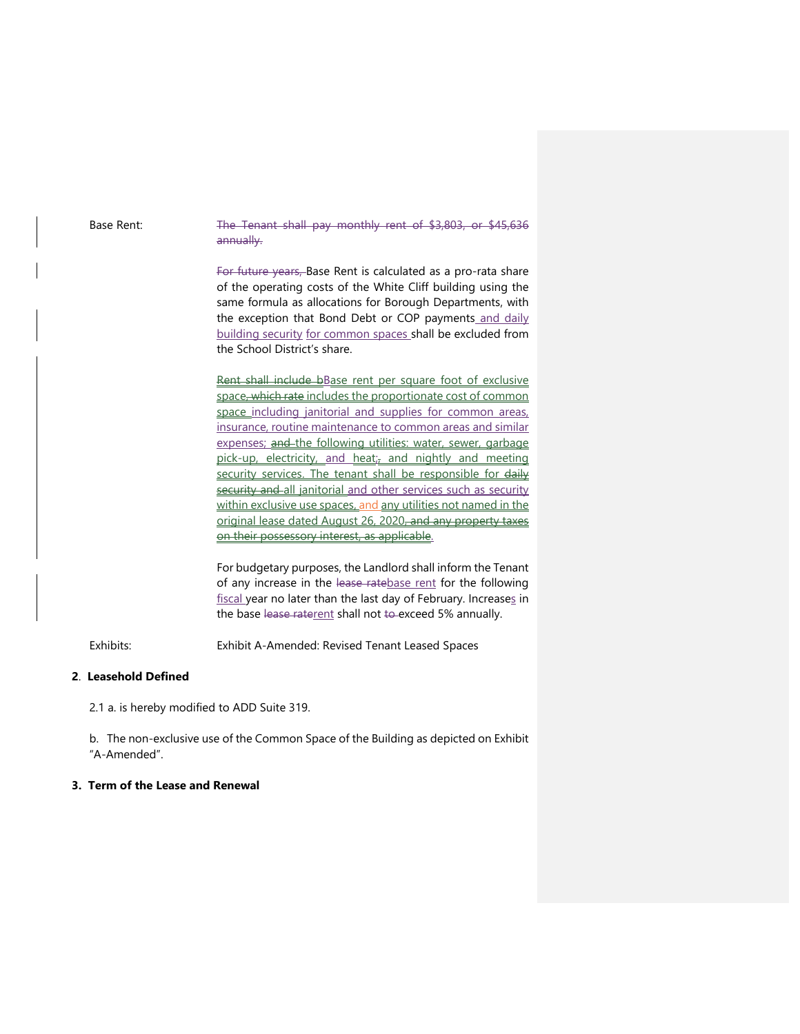Base Rent: The Tenant shall pay monthly rent of \$3,803, or \$45,636 annually.

> For future years, Base Rent is calculated as a pro-rata share of the operating costs of the White Cliff building using the same formula as allocations for Borough Departments, with the exception that Bond Debt or COP payments and daily building security for common spaces shall be excluded from the School District's share.

> Rent shall include bBase rent per square foot of exclusive space, which rate includes the proportionate cost of common space including janitorial and supplies for common areas, insurance, routine maintenance to common areas and similar expenses; and the following utilities: water, sewer, garbage pick-up, electricity, and heat; and nightly and meeting security services. The tenant shall be responsible for daily security and all janitorial and other services such as security within exclusive use spaces, and any utilities not named in the original lease dated August 26, 2020, and any property taxes on their possessory interest, as applicable.

> For budgetary purposes, the Landlord shall inform the Tenant of any increase in the lease ratebase rent for the following fiscal year no later than the last day of February. Increases in the base lease raterent shall not to exceed 5% annually.

Exhibits: Exhibit A-Amended: Revised Tenant Leased Spaces

## **2**. **Leasehold Defined**

2.1 a. is hereby modified to ADD Suite 319.

b. The non-exclusive use of the Common Space of the Building as depicted on Exhibit "A-Amended".

#### **3. Term of the Lease and Renewal**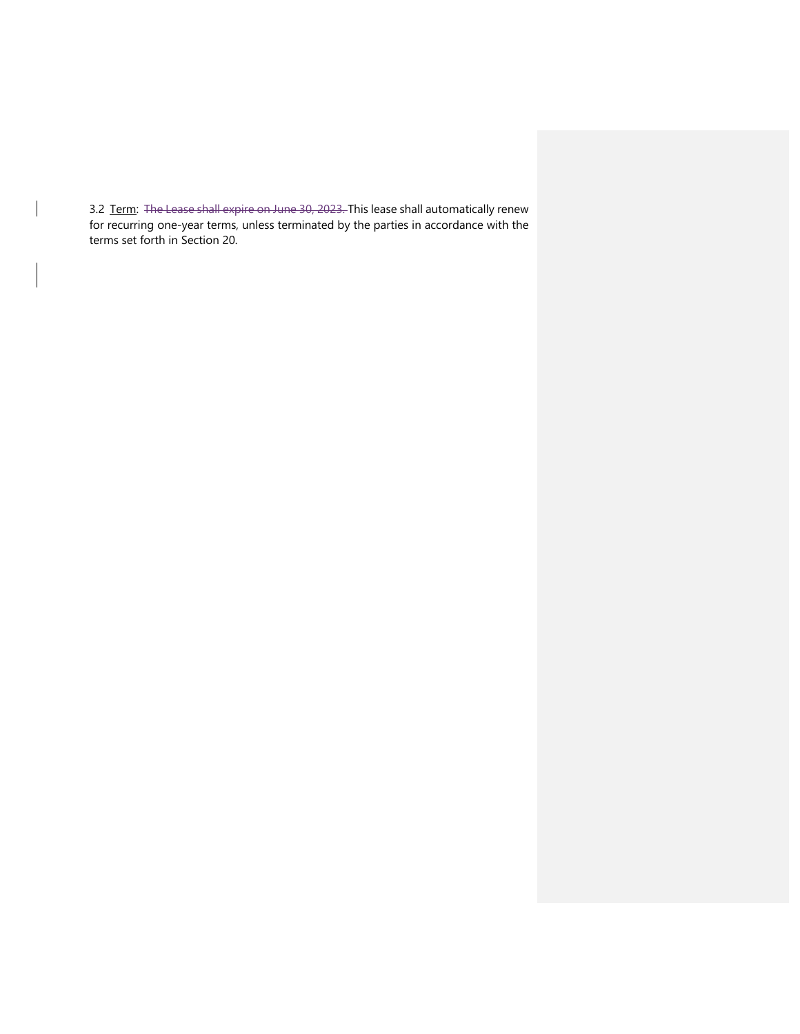3.2 Term: The Lease shall expire on June 30, 2023. This lease shall automatically renew for recurring one-year terms, unless terminated by the parties in accordance with the terms set forth in Section 20.

 $\overline{\phantom{a}}$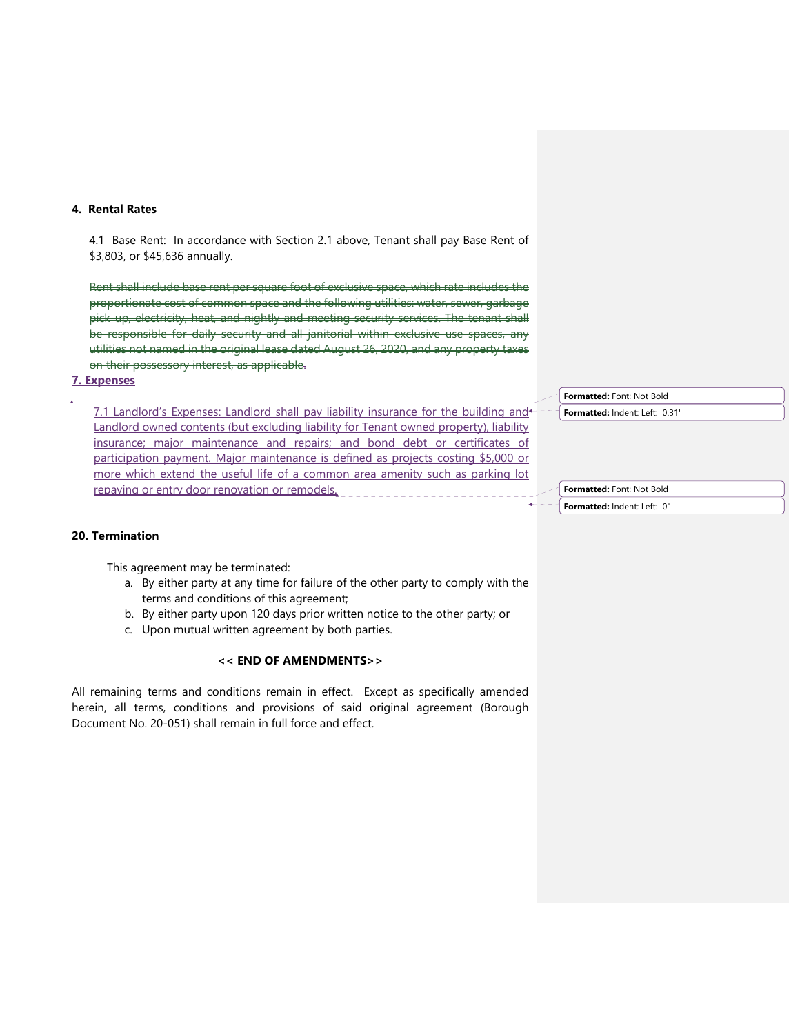#### **4. Rental Rates**

4.1 Base Rent: In accordance with Section 2.1 above, Tenant shall pay Base Rent of \$3,803, or \$45,636 annually.

Rent shall include base rent per square foot of exclusive space, which rate includes the proportionate cost of common space and the following utilities: water, sewer, garbage pick-up, electricity, heat, and nightly and meeting security services. The tenant shall be responsible for daily security and all janitorial within exclusive use spaces, any utilities not named in the original lease dated August 26, 2020, and any property taxes on their possessory interest, as applicable.

#### **7. Expenses**

7.1 Landlord's Expenses: Landlord shall pay liability insurance for the building and Landlord owned contents (but excluding liability for Tenant owned property), liability insurance; major maintenance and repairs; and bond debt or certificates of participation payment. Major maintenance is defined as projects costing \$5,000 or more which extend the useful life of a common area amenity such as parking lot repaving or entry door renovation or remodels.

**Formatted:** Font: Not Bold

**Formatted:** Indent: Left: 0.31"

**Formatted:** Font: Not Bold **Formatted:** Indent: Left: 0"

#### **20. Termination**

This agreement may be terminated:

- a. By either party at any time for failure of the other party to comply with the terms and conditions of this agreement;
- b. By either party upon 120 days prior written notice to the other party; or
- c. Upon mutual written agreement by both parties.

#### **<< END OF AMENDMENTS>>**

All remaining terms and conditions remain in effect. Except as specifically amended herein, all terms, conditions and provisions of said original agreement (Borough Document No. 20-051) shall remain in full force and effect.